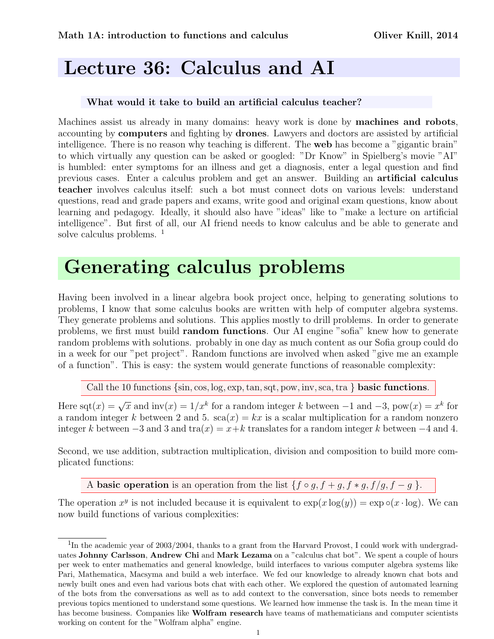## Lecture 36: Calculus and AI

## What would it take to build an artificial calculus teacher?

Machines assist us already in many domains: heavy work is done by **machines and robots**, accounting by computers and fighting by drones. Lawyers and doctors are assisted by artificial intelligence. There is no reason why teaching is different. The web has become a "gigantic brain" to which virtually any question can be asked or googled: "Dr Know" in Spielberg's movie "AI" is humbled: enter symptoms for an illness and get a diagnosis, enter a legal question and find previous cases. Enter a calculus problem and get an answer. Building an artificial calculus teacher involves calculus itself: such a bot must connect dots on various levels: understand questions, read and grade papers and exams, write good and original exam questions, know about learning and pedagogy. Ideally, it should also have "ideas" like to "make a lecture on artificial intelligence". But first of all, our AI friend needs to know calculus and be able to generate and solve calculus problems. <sup>1</sup>

## Generating calculus problems

Having been involved in a linear algebra book project once, helping to generating solutions to problems, I know that some calculus books are written with help of computer algebra systems. They generate problems and solutions. This applies mostly to drill problems. In order to generate problems, we first must build random functions. Our AI engine "sofia" knew how to generate random problems with solutions. probably in one day as much content as our Sofia group could do in a week for our "pet project". Random functions are involved when asked "give me an example of a function". This is easy: the system would generate functions of reasonable complexity:

Call the 10 functions  $\{\sin, \cos, \log, \exp, \tan, \sqrt{10}$ ,  $\cos, \sqrt{10}$ ,  $\cos, \tan, \sqrt{10}$ ,  $\cos, \tan, \sqrt{10}$ ,  $\cos, \tan, \sqrt{10}$ 

Here  $\overline{\text{sqt}(x)} = \sqrt{x}$  and  $\text{inv}(x) = 1/x^k$  for a random integer k between  $-1$  and  $-3$ ,  $\overline{\text{pow}(x)} = x^k$  for a random integer k between 2 and 5.  $sca(x) = kx$  is a scalar multiplication for a random nonzero integer k between  $-3$  and 3 and tra $(x) = x+k$  translates for a random integer k between  $-4$  and 4.

Second, we use addition, subtraction multiplication, division and composition to build more complicated functions:

A basic operation is an operation from the list  $\{f \circ g, f + g, f * g, f / g, f - g\}$ .

The operation  $x^y$  is not included because it is equivalent to  $\exp(x \log(y)) = \exp \circ (x \cdot \log)$ . We can now build functions of various complexities:

<sup>&</sup>lt;sup>1</sup>In the academic year of 2003/2004, thanks to a grant from the Harvard Provost, I could work with undergraduates Johnny Carlsson, Andrew Chi and Mark Lezama on a "calculus chat bot". We spent a couple of hours per week to enter mathematics and general knowledge, build interfaces to various computer algebra systems like Pari, Mathematica, Macsyma and build a web interface. We fed our knowledge to already known chat bots and newly built ones and even had various bots chat with each other. We explored the question of automated learning of the bots from the conversations as well as to add context to the conversation, since bots needs to remember previous topics mentioned to understand some questions. We learned how immense the task is. In the mean time it has become business. Companies like **Wolfram research** have teams of mathematicians and computer scientists working on content for the "Wolfram alpha" engine.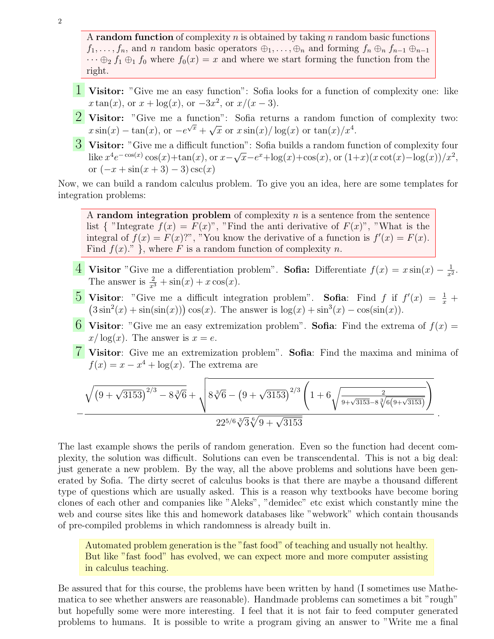A random function of complexity  $n$  is obtained by taking  $n$  random basic functions  $f_1, \ldots, f_n$ , and n random basic operators  $\oplus_1, \ldots, \oplus_n$  and forming  $f_n \oplus_n f_{n-1} \oplus_{n-1}$  $\cdots \oplus_2 f_1 \oplus_1 f_0$  where  $f_0(x) = x$  and where we start forming the function from the right.

- 1 Visitor: "Give me an easy function": Sofia looks for a function of complexity one: like  $x \tan(x)$ , or  $x + \log(x)$ , or  $-3x^2$ , or  $x/(x-3)$ .
- **2** Visitor: "Give me a function": Sofia returns a random function of complexity two: **v** istor. Give the a function of some returns a random function  $x \sin(x) - \tan(x)$ , or  $-e^{\sqrt{x}} + \sqrt{x}$  or  $x \sin(x)/\log(x)$  or  $\tan(x)/x^4$ .
- 3 Visitor: "Give me a difficult function": Sofia builds a random function of complexity four like  $x^4 e^{-\cos(x)} \cos(x) + \tan(x)$ , or  $x-$ ا∪ا<br>∕  $\overline{x}$ -e<sup>x</sup>+log(x)+cos(x), or  $(1+x)(x \cot(x)-\log(x))/x^2$ , or  $(-x + \sin(x + 3) - 3)\csc(x)$

Now, we can build a random calculus problem. To give you an idea, here are some templates for integration problems:

A random integration problem of complexity  $n$  is a sentence from the sentence list { "Integrate  $f(x) = F(x)$ ", "Find the anti-derivative of  $F(x)$ ", "What is the integral of  $f(x) = F(x)$ <sup>n</sup>, "You know the derivative of a function is  $f'(x) = F(x)$ . Find  $f(x)$ .", where F is a random function of complexity n.

- 4 Visitor "Give me a differentiation problem". Sofia: Differentiate  $f(x) = x \sin(x) \frac{1}{x^2}$  $\frac{1}{x^2}$ . The answer is  $\frac{2}{x^3} + \sin(x) + x \cos(x)$ .
- **5** Visitor: "Give me a difficult integration problem". Sofia: Find f if  $f'(x) = \frac{1}{x} +$  $(3\sin^2(x) + \sin(\sin(x)))\cos(x)$ . The answer is  $\log(x) + \sin^3(x) - \cos(\sin(x))$ .
- 6 Visitor: "Give me an easy extremization problem". Sofia: Find the extrema of  $f(x) =$  $x/\log(x)$ . The answer is  $x=e$ .
- 7 Visitor: Give me an extremization problem". Sofia: Find the maxima and minima of  $f(x) = x - x^4 + \log(x)$ . The extrema are

$$
-\frac{\sqrt{\left(9+\sqrt{3153}\right)^{2/3}-8\sqrt[3]{6}}+\sqrt{8\sqrt[3]{6}-\left(9+\sqrt{3153}\right)^{2/3}\left(1+6\sqrt{\frac{2}{9+\sqrt{3153}-8\sqrt[3]{6\left(9+\sqrt{3153}\right)}}}\right)}}{\sqrt{22^{5/6}\sqrt[3]{3}\sqrt[6]{9+\sqrt{3153}}}}
$$

.

The last example shows the perils of random generation. Even so the function had decent complexity, the solution was difficult. Solutions can even be transcendental. This is not a big deal: just generate a new problem. By the way, all the above problems and solutions have been generated by Sofia. The dirty secret of calculus books is that there are maybe a thousand different type of questions which are usually asked. This is a reason why textbooks have become boring clones of each other and companies like "Aleks", "demidec" etc exist which constantly mine the web and course sites like this and homework databases like "webwork" which contain thousands of pre-compiled problems in which randomness is already built in.

Automated problem generation is the "fast food" of teaching and usually not healthy. But like "fast food" has evolved, we can expect more and more computer assisting in calculus teaching.

Be assured that for this course, the problems have been written by hand (I sometimes use Mathematica to see whether answers are reasonable). Handmade problems can sometimes a bit "rough" but hopefully some were more interesting. I feel that it is not fair to feed computer generated problems to humans. It is possible to write a program giving an answer to "Write me a final